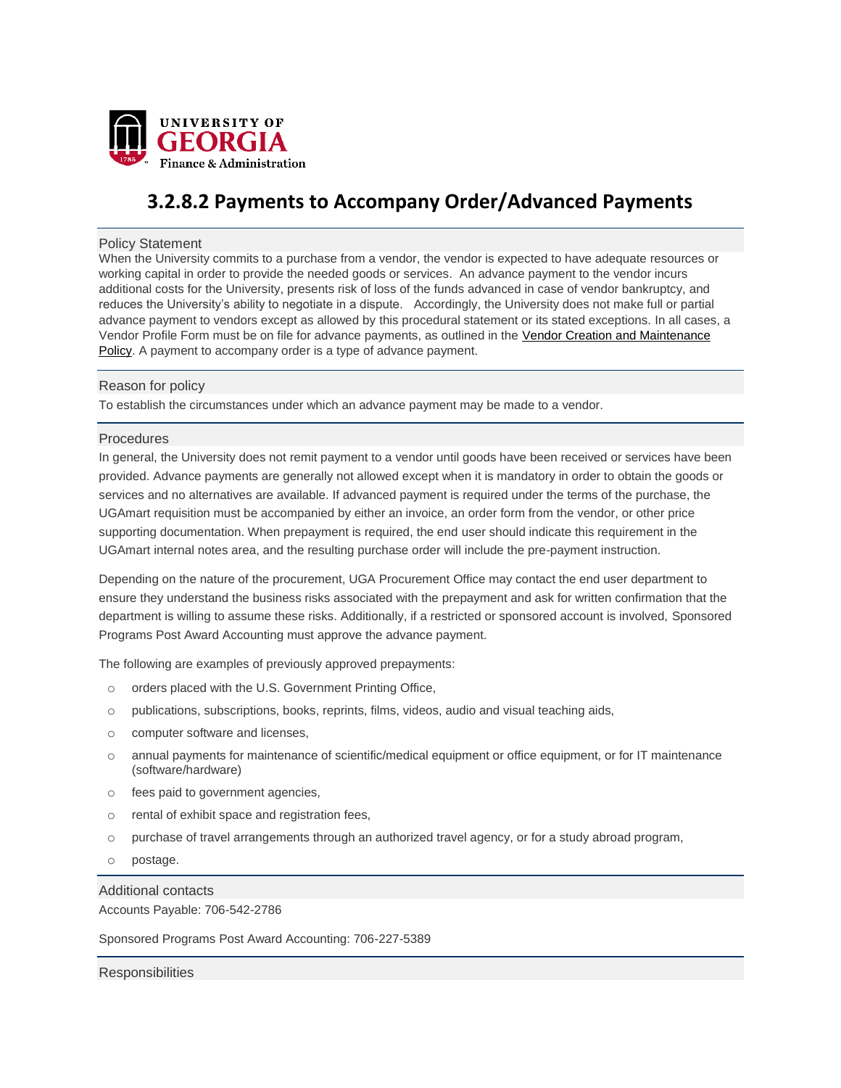

# **3.2.8.2 Payments to Accompany Order/Advanced Payments**

## Policy Statement

When the University commits to a purchase from a vendor, the vendor is expected to have adequate resources or working capital in order to provide the needed goods or services. An advance payment to the vendor incurs additional costs for the University, presents risk of loss of the funds advanced in case of vendor bankruptcy, and reduces the University's ability to negotiate in a dispute. Accordingly, the University does not make full or partial advance payment to vendors except as allowed by this procedural statement or its stated exceptions. In all cases, a Vendor Profile Form must be on file for advance payments, as outlined in the Vendor Creation and [Maintenance](http://policies.uga.edu/Purchasing-and-Payment-Processing/Vendor-Creation-and-Maintenance-for-All-Types-of-P/) [Policy.](http://policies.uga.edu/Purchasing-and-Payment-Processing/Vendor-Creation-and-Maintenance-for-All-Types-of-P/) A payment to accompany order is a type of advance payment.

## Reason for policy

To establish the circumstances under which an advance payment may be made to a vendor.

## **Procedures**

In general, the University does not remit payment to a vendor until goods have been received or services have been provided. Advance payments are generally not allowed except when it is mandatory in order to obtain the goods or services and no alternatives are available. If advanced payment is required under the terms of the purchase, the UGAmart requisition must be accompanied by either an invoice, an order form from the vendor, or other price supporting documentation. When prepayment is required, the end user should indicate this requirement in the UGAmart internal notes area, and the resulting purchase order will include the pre-payment instruction.

Depending on the nature of the procurement, UGA Procurement Office may contact the end user department to ensure they understand the business risks associated with the prepayment and ask for written confirmation that the department is willing to assume these risks. Additionally, if a restricted or sponsored account is involved, Sponsored Programs Post Award Accounting must approve the advance payment.

The following are examples of previously approved prepayments:

- o orders placed with the U.S. Government Printing Office,
- o publications, subscriptions, books, reprints, films, videos, audio and visual teaching aids,
- o computer software and licenses,
- o annual payments for maintenance of scientific/medical equipment or office equipment, or for IT maintenance (software/hardware)
- o fees paid to government agencies,
- o rental of exhibit space and registration fees,
- o purchase of travel arrangements through an authorized travel agency, or for a study abroad program,
- o postage.

## Additional contacts

Accounts Payable: 706-542-2786

Sponsored Programs Post Award Accounting: 706-227-5389

**Responsibilities**